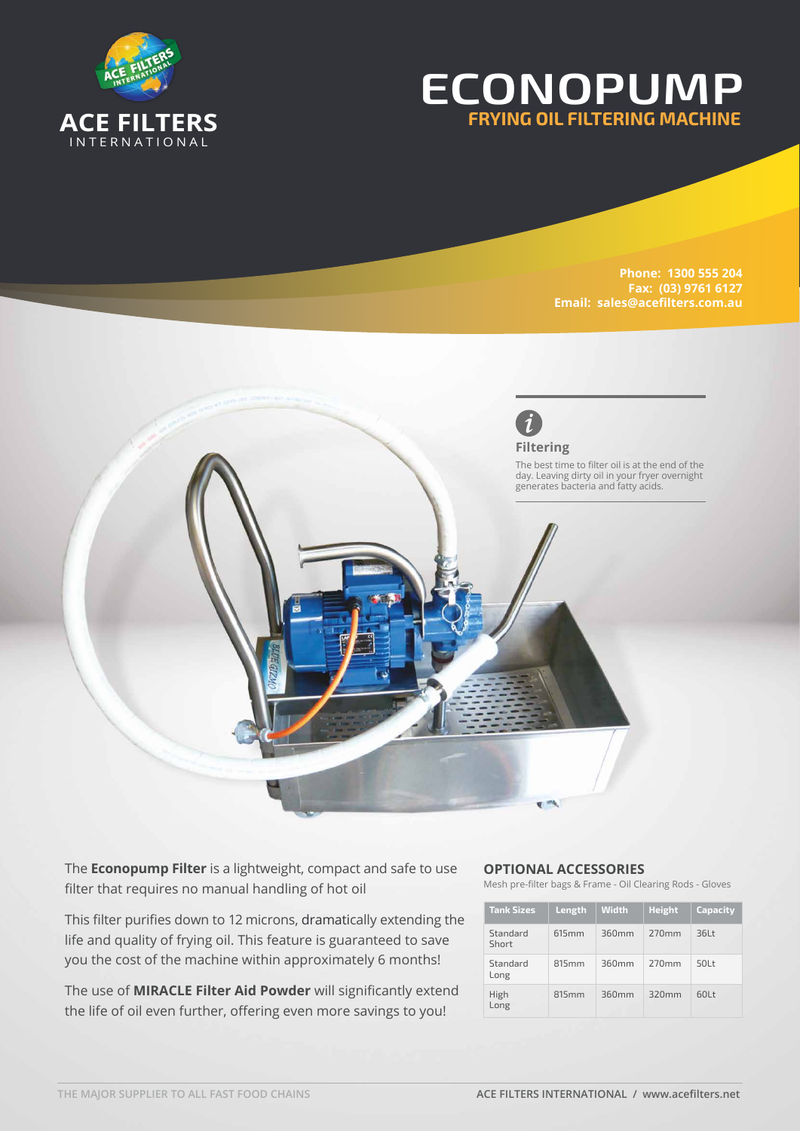

## **ECONOPUMP FRYING OIL FILTERING MACHINE**

**Phone: 1300 555 204 Fax: (03) 9761 6127 Email: sales@acefilters.com.au**



The **Econopump Filter** is a lightweight, compact and safe to use filter that requires no manual handling of hot oil

This filter purifies down to 12 microns, dramatically extending the life and quality of frying oil. This feature is guaranteed to save you the cost of the machine within approximately 6 months!

The use of **MIRACLE Filter Aid Powder** will significantly extend the life of oil even further, offering even more savings to you!

## **OPTIONAL ACCESSORIES**

Mesh pre-filter bags & Frame - Oil Clearing Rods - Gloves

| <b>Tank Sizes</b> | Length            | <b>Width</b> | <b>Height</b> | <b>Capacity</b> |
|-------------------|-------------------|--------------|---------------|-----------------|
| Standard<br>Short | 615 <sub>mm</sub> | 360mm        | 270mm         | 36Lt            |
| Standard<br>Long  | 815mm             | 360mm        | 770mm         | 50Lt            |
| High<br>Long      | 815mm             | 360mm        | 320mm         | 60Lt            |